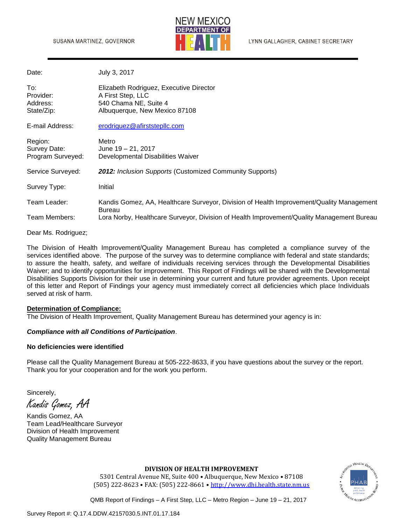

| Date:                                        | July 3, 2017                                                                                                           |  |
|----------------------------------------------|------------------------------------------------------------------------------------------------------------------------|--|
| To:<br>Provider:<br>Address:<br>State/Zip:   | Elizabeth Rodriguez, Executive Director<br>A First Step, LLC<br>540 Chama NE, Suite 4<br>Albuquerque, New Mexico 87108 |  |
| E-mail Address:                              | erodriguez@afirststepllc.com                                                                                           |  |
| Region:<br>Survey Date:<br>Program Surveyed: | Metro<br>June 19 – 21, 2017<br>Developmental Disabilities Waiver                                                       |  |
| Service Surveyed:                            | 2012: Inclusion Supports (Customized Community Supports)                                                               |  |
| Survey Type:                                 | Initial                                                                                                                |  |
| Team Leader:                                 | Kandis Gomez, AA, Healthcare Surveyor, Division of Health Improvement/Quality Management<br><b>Bureau</b>              |  |
| Team Members:                                | Lora Norby, Healthcare Surveyor, Division of Health Improvement/Quality Management Bureau                              |  |

Dear Ms. Rodriguez;

The Division of Health Improvement/Quality Management Bureau has completed a compliance survey of the services identified above. The purpose of the survey was to determine compliance with federal and state standards; to assure the health, safety, and welfare of individuals receiving services through the Developmental Disabilities Waiver; and to identify opportunities for improvement. This Report of Findings will be shared with the Developmental Disabilities Supports Division for their use in determining your current and future provider agreements. Upon receipt of this letter and Report of Findings your agency must immediately correct all deficiencies which place Individuals served at risk of harm.

#### **Determination of Compliance:**

The Division of Health Improvement, Quality Management Bureau has determined your agency is in:

#### *Compliance with all Conditions of Participation*.

#### **No deficiencies were identified**

Please call the Quality Management Bureau at 505-222-8633, if you have questions about the survey or the report. Thank you for your cooperation and for the work you perform.

Sincerely, Kandis Gomez, AA

Kandis Gomez, AA Team Lead/Healthcare Surveyor Division of Health Improvement Quality Management Bureau

# O HEALTH DE

**DIVISION OF HEALTH IMPROVEMENT**

5301 Central Avenue NE, Suite 400 • Albuquerque, New Mexico • 87108 (505) 222-8623 • FAX: (505) 222-8661 • [http://www.dhi.health.state.nm.us](http://www.dhi.health.state.nm.us/)

QMB Report of Findings – A First Step, LLC – Metro Region – June 19 – 21, 2017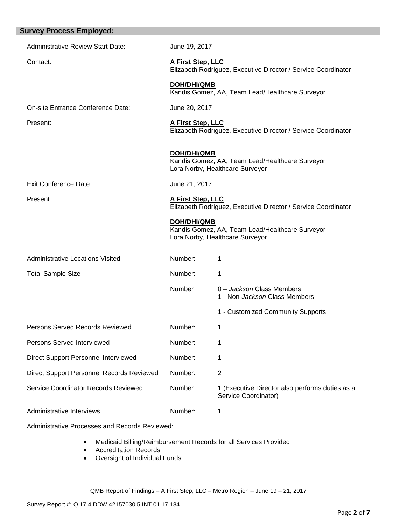| <b>Survey Process Employed:</b>           |                                                                                    |                                                                                    |  |
|-------------------------------------------|------------------------------------------------------------------------------------|------------------------------------------------------------------------------------|--|
| <b>Administrative Review Start Date:</b>  | June 19, 2017                                                                      |                                                                                    |  |
| Contact:                                  | A First Step, LLC<br>Elizabeth Rodriguez, Executive Director / Service Coordinator |                                                                                    |  |
|                                           | <b>DOH/DHI/QMB</b><br>Kandis Gomez, AA, Team Lead/Healthcare Surveyor              |                                                                                    |  |
| On-site Entrance Conference Date:         | June 20, 2017                                                                      |                                                                                    |  |
| Present:                                  | A First Step, LLC                                                                  | Elizabeth Rodriguez, Executive Director / Service Coordinator                      |  |
|                                           | <b>DOH/DHI/QMB</b>                                                                 | Kandis Gomez, AA, Team Lead/Healthcare Surveyor<br>Lora Norby, Healthcare Surveyor |  |
| <b>Exit Conference Date:</b>              | June 21, 2017                                                                      |                                                                                    |  |
| Present:                                  | A First Step, LLC                                                                  | Elizabeth Rodriguez, Executive Director / Service Coordinator                      |  |
|                                           | <b>DOH/DHI/QMB</b>                                                                 | Kandis Gomez, AA, Team Lead/Healthcare Surveyor<br>Lora Norby, Healthcare Surveyor |  |
| <b>Administrative Locations Visited</b>   | Number:                                                                            | 1                                                                                  |  |
| <b>Total Sample Size</b>                  | Number:                                                                            | 1                                                                                  |  |
|                                           | Number                                                                             | 0 - Jackson Class Members<br>1 - Non-Jackson Class Members                         |  |
|                                           |                                                                                    | 1 - Customized Community Supports                                                  |  |
| Persons Served Records Reviewed           | Number:                                                                            | 1                                                                                  |  |
| Persons Served Interviewed                | Number:                                                                            | 1                                                                                  |  |
| Direct Support Personnel Interviewed      | Number:                                                                            | 1                                                                                  |  |
| Direct Support Personnel Records Reviewed | Number:                                                                            | $\overline{2}$                                                                     |  |
| Service Coordinator Records Reviewed      | Number:                                                                            | 1 (Executive Director also performs duties as a<br>Service Coordinator)            |  |
| Administrative Interviews                 | Number:                                                                            | 1                                                                                  |  |
|                                           |                                                                                    |                                                                                    |  |

Administrative Processes and Records Reviewed:

- Medicaid Billing/Reimbursement Records for all Services Provided
- Accreditation Records
- Oversight of Individual Funds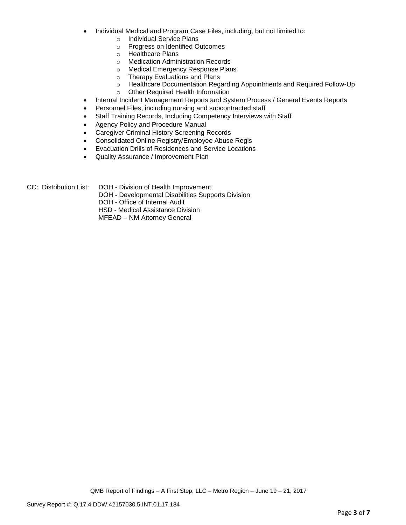- Individual Medical and Program Case Files, including, but not limited to:
	- o Individual Service Plans
	- o Progress on Identified Outcomes
	- o Healthcare Plans
	- o Medication Administration Records
	- o Medical Emergency Response Plans
	- o Therapy Evaluations and Plans
	- o Healthcare Documentation Regarding Appointments and Required Follow-Up
	- o Other Required Health Information
- Internal Incident Management Reports and System Process / General Events Reports
- Personnel Files, including nursing and subcontracted staff
- Staff Training Records, Including Competency Interviews with Staff
- Agency Policy and Procedure Manual
- **Caregiver Criminal History Screening Records**
- Consolidated Online Registry/Employee Abuse Regis
- Evacuation Drills of Residences and Service Locations
- Quality Assurance / Improvement Plan
- CC: Distribution List: DOH Division of Health Improvement
	- DOH Developmental Disabilities Supports Division
		- DOH Office of Internal Audit

HSD - Medical Assistance Division

MFEAD – NM Attorney General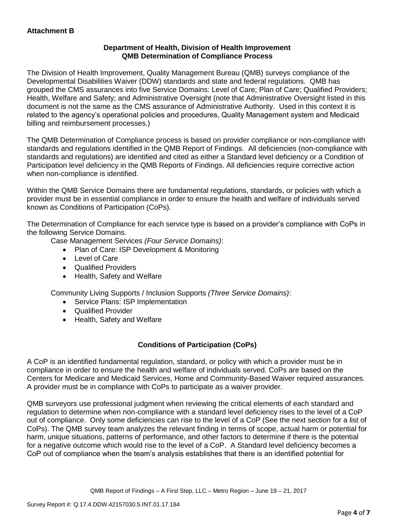## **Department of Health, Division of Health Improvement QMB Determination of Compliance Process**

The Division of Health Improvement, Quality Management Bureau (QMB) surveys compliance of the Developmental Disabilities Waiver (DDW) standards and state and federal regulations. QMB has grouped the CMS assurances into five Service Domains: Level of Care; Plan of Care; Qualified Providers; Health, Welfare and Safety; and Administrative Oversight (note that Administrative Oversight listed in this document is not the same as the CMS assurance of Administrative Authority. Used in this context it is related to the agency's operational policies and procedures, Quality Management system and Medicaid billing and reimbursement processes.)

The QMB Determination of Compliance process is based on provider compliance or non-compliance with standards and regulations identified in the QMB Report of Findings. All deficiencies (non-compliance with standards and regulations) are identified and cited as either a Standard level deficiency or a Condition of Participation level deficiency in the QMB Reports of Findings. All deficiencies require corrective action when non-compliance is identified.

Within the QMB Service Domains there are fundamental regulations, standards, or policies with which a provider must be in essential compliance in order to ensure the health and welfare of individuals served known as Conditions of Participation (CoPs).

The Determination of Compliance for each service type is based on a provider's compliance with CoPs in the following Service Domains.

Case Management Services *(Four Service Domains)*:

- Plan of Care: ISP Development & Monitoring
- Level of Care
- Qualified Providers
- Health, Safety and Welfare

Community Living Supports / Inclusion Supports *(Three Service Domains)*:

- Service Plans: ISP Implementation
- Qualified Provider
- Health, Safety and Welfare

## **Conditions of Participation (CoPs)**

A CoP is an identified fundamental regulation, standard, or policy with which a provider must be in compliance in order to ensure the health and welfare of individuals served. CoPs are based on the Centers for Medicare and Medicaid Services, Home and Community-Based Waiver required assurances. A provider must be in compliance with CoPs to participate as a waiver provider.

QMB surveyors use professional judgment when reviewing the critical elements of each standard and regulation to determine when non-compliance with a standard level deficiency rises to the level of a CoP out of compliance. Only some deficiencies can rise to the level of a CoP (See the next section for a list of CoPs). The QMB survey team analyzes the relevant finding in terms of scope, actual harm or potential for harm, unique situations, patterns of performance, and other factors to determine if there is the potential for a negative outcome which would rise to the level of a CoP. A Standard level deficiency becomes a CoP out of compliance when the team's analysis establishes that there is an identified potential for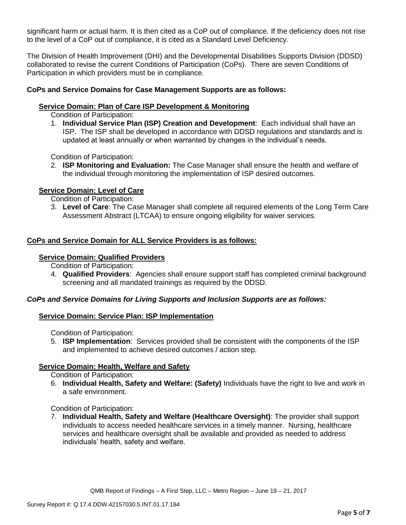significant harm or actual harm. It is then cited as a CoP out of compliance. If the deficiency does not rise to the level of a CoP out of compliance, it is cited as a Standard Level Deficiency.

The Division of Health Improvement (DHI) and the Developmental Disabilities Supports Division (DDSD) collaborated to revise the current Conditions of Participation (CoPs). There are seven Conditions of Participation in which providers must be in compliance.

## **CoPs and Service Domains for Case Management Supports are as follows:**

## **Service Domain: Plan of Care ISP Development & Monitoring**

Condition of Participation:

1. **Individual Service Plan (ISP) Creation and Development**: Each individual shall have an ISP. The ISP shall be developed in accordance with DDSD regulations and standards and is updated at least annually or when warranted by changes in the individual's needs.

Condition of Participation:

2. **ISP Monitoring and Evaluation:** The Case Manager shall ensure the health and welfare of the individual through monitoring the implementation of ISP desired outcomes.

## **Service Domain: Level of Care**

Condition of Participation:

3. **Level of Care**: The Case Manager shall complete all required elements of the Long Term Care Assessment Abstract (LTCAA) to ensure ongoing eligibility for waiver services.

## **CoPs and Service Domain for ALL Service Providers is as follows:**

#### **Service Domain: Qualified Providers**

Condition of Participation:

4. **Qualified Providers**: Agencies shall ensure support staff has completed criminal background screening and all mandated trainings as required by the DDSD.

## *CoPs and Service Domains for Living Supports and Inclusion Supports are as follows:*

## **Service Domain: Service Plan: ISP Implementation**

Condition of Participation:

5. **ISP Implementation**: Services provided shall be consistent with the components of the ISP and implemented to achieve desired outcomes / action step.

## **Service Domain: Health, Welfare and Safety**

Condition of Participation:

6. **Individual Health, Safety and Welfare: (Safety)** Individuals have the right to live and work in a safe environment.

Condition of Participation:

7. **Individual Health, Safety and Welfare (Healthcare Oversight)**: The provider shall support individuals to access needed healthcare services in a timely manner. Nursing, healthcare services and healthcare oversight shall be available and provided as needed to address individuals' health, safety and welfare.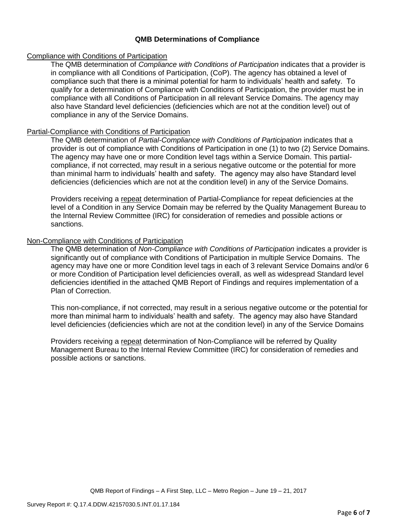## **QMB Determinations of Compliance**

## Compliance with Conditions of Participation

The QMB determination of *Compliance with Conditions of Participation* indicates that a provider is in compliance with all Conditions of Participation, (CoP). The agency has obtained a level of compliance such that there is a minimal potential for harm to individuals' health and safety. To qualify for a determination of Compliance with Conditions of Participation, the provider must be in compliance with all Conditions of Participation in all relevant Service Domains. The agency may also have Standard level deficiencies (deficiencies which are not at the condition level) out of compliance in any of the Service Domains.

## Partial-Compliance with Conditions of Participation

The QMB determination of *Partial-Compliance with Conditions of Participation* indicates that a provider is out of compliance with Conditions of Participation in one (1) to two (2) Service Domains. The agency may have one or more Condition level tags within a Service Domain. This partialcompliance, if not corrected, may result in a serious negative outcome or the potential for more than minimal harm to individuals' health and safety. The agency may also have Standard level deficiencies (deficiencies which are not at the condition level) in any of the Service Domains.

Providers receiving a repeat determination of Partial-Compliance for repeat deficiencies at the level of a Condition in any Service Domain may be referred by the Quality Management Bureau to the Internal Review Committee (IRC) for consideration of remedies and possible actions or sanctions.

## Non-Compliance with Conditions of Participation

The QMB determination of *Non-Compliance with Conditions of Participation* indicates a provider is significantly out of compliance with Conditions of Participation in multiple Service Domains. The agency may have one or more Condition level tags in each of 3 relevant Service Domains and/or 6 or more Condition of Participation level deficiencies overall, as well as widespread Standard level deficiencies identified in the attached QMB Report of Findings and requires implementation of a Plan of Correction.

This non-compliance, if not corrected, may result in a serious negative outcome or the potential for more than minimal harm to individuals' health and safety. The agency may also have Standard level deficiencies (deficiencies which are not at the condition level) in any of the Service Domains

Providers receiving a repeat determination of Non-Compliance will be referred by Quality Management Bureau to the Internal Review Committee (IRC) for consideration of remedies and possible actions or sanctions.